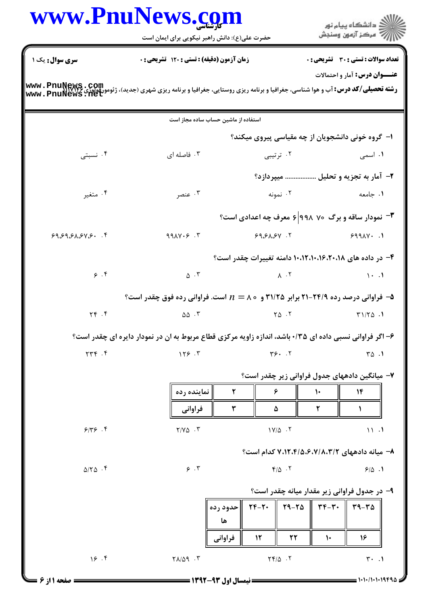|                           |                                                                                                         | www.Pnulvews.com<br>حضرت علی(ع): دانش راهبر نیکویی برای ایمان است |                                                                                                                                                                                                               |               |               | دانشگاه پيام نور $\le$<br>ب ۖ مرڪز آزمون وسنڊش              |  |  |
|---------------------------|---------------------------------------------------------------------------------------------------------|-------------------------------------------------------------------|---------------------------------------------------------------------------------------------------------------------------------------------------------------------------------------------------------------|---------------|---------------|-------------------------------------------------------------|--|--|
| <b>سری سوال :</b> یک ۱    |                                                                                                         | <b>زمان آزمون (دقیقه) : تستی : 120 تشریحی : 0</b>                 |                                                                                                                                                                                                               |               |               | <b>تعداد سوالات : تستی : 30 ٪ تشریحی : 0</b>                |  |  |
| www.PnuNews.net           |                                                                                                         |                                                                   |                                                                                                                                                                                                               |               |               | <b>عنـــوان درس:</b> آمار و احتمالات                        |  |  |
|                           | استفاده از ماشین حساب ساده مجاز است                                                                     |                                                                   |                                                                                                                                                                                                               |               |               |                                                             |  |  |
|                           |                                                                                                         |                                                                   |                                                                                                                                                                                                               |               |               | ا– گروه خونی دانشجویان از چه مقیاسی پیروی میکند؟            |  |  |
| ۰۴ نسبتی                  | ۰۳ فاصله ای                                                                                             |                                                                   | ۰۲ ترتیبی                                                                                                                                                                                                     | ۰۱ اسمی       |               |                                                             |  |  |
|                           |                                                                                                         |                                                                   |                                                                                                                                                                                                               |               |               | ۲- آمار به تجزیه و تحلیل  میپردازد؟                         |  |  |
| ۰۴ متغیر                  | ۰۳ عنصر                                                                                                 | ۰۲ نمونه                                                          |                                                                                                                                                                                                               |               | ۰۱ جامعه      |                                                             |  |  |
|                           |                                                                                                         |                                                                   |                                                                                                                                                                                                               |               |               | <b>۳</b> - نمودار ساقه و برگ ۷۰ ۹۹۸ ۶ معرف چه اعدادی است؟   |  |  |
| 99.99.91.91.94.9.7        | 99AY.5.7                                                                                                |                                                                   | 99.51.54                                                                                                                                                                                                      |               |               | $999AY - 1$                                                 |  |  |
|                           |                                                                                                         |                                                                   |                                                                                                                                                                                                               |               |               | ۴- در داده های ۲۰،۱۶،۲۰،۱۶،۱۲،۱۰،۱۵ دامنه تغییرات چقدر است؟ |  |  |
| 9.9                       | $\Delta$ . ٣                                                                                            | $\lambda$ $\cdot$ $\lambda$                                       |                                                                                                                                                                                                               |               | $\cdots$      |                                                             |  |  |
|                           | ۵- فراوانی درصد رده ۲۴/۹۹-۲۱ برابر ۳۱/۲۵ و ۸۰ = $n$ است. فراوانی رده فوق چقدر است؟                      |                                                                   |                                                                                                                                                                                                               |               |               |                                                             |  |  |
| $Y \in \mathcal{F}$       | $\Delta \Delta$ .                                                                                       |                                                                   | $Y\Delta$ .                                                                                                                                                                                                   |               |               | $T1/T\Delta$ .                                              |  |  |
|                           | ۶- اگر فراوانی نسبی داده ای ۱۳۵۰ باشد، اندازه زاویه مرکزی قطاع مربوط به ان در نمودار دایره ای چقدر است؟ |                                                                   |                                                                                                                                                                                                               |               |               |                                                             |  |  |
| YYF. F                    | 159.7                                                                                                   |                                                                   | Y5.7                                                                                                                                                                                                          |               |               | $\sqrt{2}$ .                                                |  |  |
|                           |                                                                                                         |                                                                   |                                                                                                                                                                                                               |               |               | ۷– میانگین دادههای جدول فراوانی زیر چقدر است؟               |  |  |
|                           | نماينده رده                                                                                             | ٢                                                                 | ۶                                                                                                                                                                                                             | $\mathcal{L}$ |               | 14                                                          |  |  |
|                           | فراواني                                                                                                 | ٣                                                                 | ۵                                                                                                                                                                                                             |               | ۲             | J.                                                          |  |  |
| 9/79.9                    | $Y/Y\Delta$ .                                                                                           |                                                                   | $1Y/\Delta$ .                                                                                                                                                                                                 |               | 11.1          |                                                             |  |  |
|                           |                                                                                                         |                                                                   |                                                                                                                                                                                                               |               |               | ۸- میانه دادههای ۷٬۱۲٬۴/۵٬۶٬۷/۸٬۳/۲ کدام است؟               |  |  |
| $\Delta/\Upsilon\Delta$ . | 9.7                                                                                                     |                                                                   | $Y/\Delta$ .                                                                                                                                                                                                  |               |               | 9/0.1                                                       |  |  |
|                           |                                                                                                         |                                                                   |                                                                                                                                                                                                               |               |               | ۹- در جدول فراوانی زیر مقدار میانه چقدر است؟                |  |  |
|                           |                                                                                                         | ∥حدود رده<br>ها                                                   | $\mathsf{Y} \mathsf{F} - \mathsf{Y} \cdot \parallel \mathsf{Y} \mathsf{q} - \mathsf{Y} \mathsf{a} \parallel \mathsf{Y} \mathsf{F} - \mathsf{Y} \cdot \parallel \mathsf{Y} \mathsf{q} - \mathsf{Y} \mathsf{a}$ |               |               |                                                             |  |  |
|                           |                                                                                                         | فراوانى                                                           | $\mathcal{N}$<br>٢٢                                                                                                                                                                                           |               | $\mathcal{V}$ | 16                                                          |  |  |
| 19.7                      | $Y \wedge \wedge \wedge$ . $Y$                                                                          |                                                                   | $Y \times / \Delta$ .                                                                                                                                                                                         |               |               | $\mathbf{r}$ . 1                                            |  |  |
|                           |                                                                                                         |                                                                   |                                                                                                                                                                                                               |               |               | 1010/10101998                                               |  |  |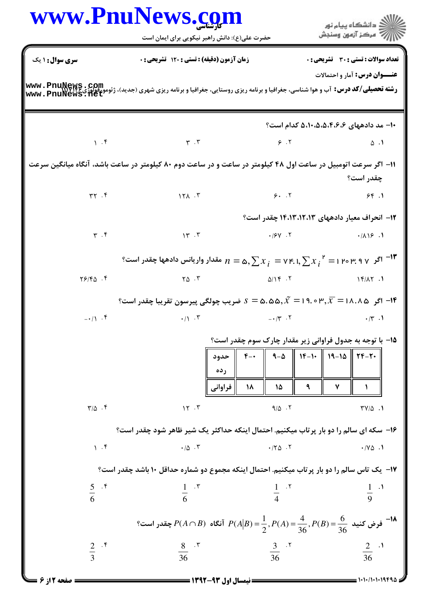|                           | www.PnuNews.com<br>حضرت علی(ع): دانش راهبر نیکویی برای ایمان است                                                                                                      |                                       | ک دانشگاه پیام نور $\leq$<br>سكز آزمون وسنجش                                                                                |
|---------------------------|-----------------------------------------------------------------------------------------------------------------------------------------------------------------------|---------------------------------------|-----------------------------------------------------------------------------------------------------------------------------|
| سری سوال : ۱ یک           | زمان آزمون (دقیقه) : تستی : ۱۲۰ تشریحی : ۰                                                                                                                            |                                       | تعداد سوالات : تستى : 30 ٪ تشريحي : 0                                                                                       |
|                           | <b>رشته تحصیلی/کد درس:</b> آب و هوا شناسی، جغرافیا و برنامه ریزی روستایی، جغرافیا و برنامه ریزی شهری (جدید)، ژئومورفولوژی www . PnuNews . 10t<br>www . PnuNews . 11et |                                       | <b>عنـــوان درس:</b> آمار و احتمالات                                                                                        |
|                           |                                                                                                                                                                       |                                       | ۰۱– مد دادههای ۴،۶،۶،۶،۵،۵،۰۱۰ کدام است؟                                                                                    |
|                           | $\gamma$ . F $\gamma$                                                                                                                                                 | $\epsilon$ . T and $\delta$ . T       |                                                                                                                             |
|                           | ۱۱- اگر سرعت اتومبیل در ساعت اول ۴۸ کیلومتر در ساعت و در ساعت دوم ۸۰ کیلومتر در ساعت باشد، آنگاه میانگین سرعت                                                         |                                       | چقدر است؟                                                                                                                   |
|                           |                                                                                                                                                                       |                                       |                                                                                                                             |
|                           |                                                                                                                                                                       |                                       | ۱۲– انحراف معیار دادههای ۱۴،۱۳،۱۲،۱۳ چقدر است؟                                                                              |
| $\mathbf{r}$ $\mathbf{r}$ | $\mathcal{N}$ . T                                                                                                                                                     |                                       |                                                                                                                             |
|                           | $_2$ ۱۳ مقدار واریانس دادهها چقدر است $n=$ ۲۴. ا $\sum x^+_i=$ ۲۴. اگر $\gamma$ ۲۹ م $\Gamma$ ۳۰ مقدار واریانس دادهها چقدر است $^{-1}$ ۲                              |                                       |                                                                                                                             |
| $Y5/FQ$ .                 |                                                                                                                                                                       |                                       |                                                                                                                             |
|                           | ا اگر $\bar{x} = \lambda \wedge \pi = 1$ 19.0 اگر ۱۸.۸۵ $\bar{x} = \lambda \wedge \pi = 0$ شریب چولگی پیرسون تقریبا چقدر است $\ell$                                   |                                       |                                                                                                                             |
|                           | $-(\gamma \cdot \gamma \cdot \gamma)$ . T $-(\gamma \cdot \gamma \cdot \gamma)$                                                                                       |                                       |                                                                                                                             |
|                           | حدود<br>ر ده<br>فراواني                                                                                                                                               | ዓ $-\Delta$<br>$F -$<br>٩<br>١٨<br>۱۵ | ۱۵– با توجه به جدول فراوانی زیر مقدار چارک سوم چقدر است؟<br>$\parallel$ 14-1. $\parallel$ 19-10 $\parallel$ 17-7.<br>٧<br>1 |
| $\Gamma/\Delta$ .         | 15.7                                                                                                                                                                  | $9/\Delta$ .                          | $\Upsilon V/\Delta$ .                                                                                                       |
|                           | ۱۶- سکه ای سالم را دو بار پرتاب میکنیم. احتمال اینکه حداکثر یک شیر ظاهر شود چقدر است؟                                                                                 |                                       |                                                                                                                             |
| 1.9                       | $\cdot/\Delta$ . ٣                                                                                                                                                    | .70.7                                 | $\cdot$ / Y $\triangle$ . 1                                                                                                 |
|                           | ۱۷– یک تاس سالم را دو بار پر تاب میکنیم. احتمال اینکه مجموع دو شماره حداقل ۱۰ باشد چقدر است؟                                                                          |                                       |                                                                                                                             |
| $rac{5}{6}$ .*            | $\frac{1}{6}$ $\cdot$ $\cdot$                                                                                                                                         | $\frac{1}{4}$ $\cdot$ $\cdot$         | $\frac{1}{9}$ $\cdot$ <sup>1</sup>                                                                                          |
|                           | فرض كنيد $\frac{6}{36} = P(A \cap B) = \frac{1}{2}, P(A) = \frac{4}{36}, P(B) = \frac{6}{36}$ آنگاه $P(A \cap B) = \frac{6}{36}$ چقدر است؟                            |                                       |                                                                                                                             |
| $rac{2}{3}$ .*            | $rac{8}{36}$ . $\sqrt{5}$                                                                                                                                             | $rac{3}{36}$ . T                      | $rac{2}{36}$ .                                                                                                              |
|                           |                                                                                                                                                                       |                                       |                                                                                                                             |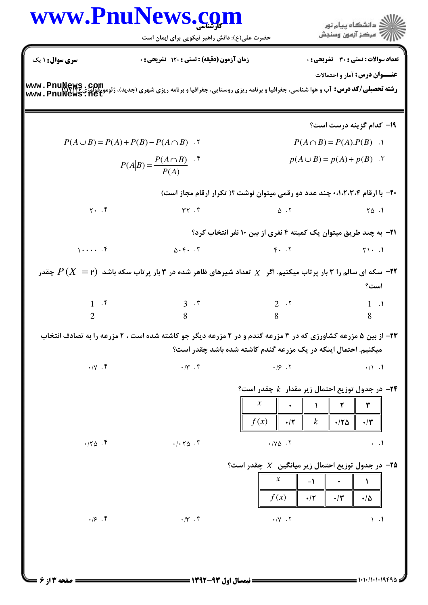## www.PnuNews.com اران<br>الله دانشگاه پیام نور<br>الله مرکز آزمون وسنجش حضرت علی(ع): دانش راهبر نیکویی برای ایمان است تعداد سوالات : تستى : 30 ٪ تشريحي : 0 **سری سوال : ۱ یک** زمان آزمون (دقیقه) : تستی ; 120 تشریحی ; .

عنــوان درس: آمار و احتمالات

**رشته تحصیلی/کد درس:** آب و هوا شناسی، جغرافیا و برنامه ریزی روستایی، جغرافیا و برنامه ریزی شهری (جدید)، ژئومورفولوژی www . PnuNews . com<br>www . PnuNews . Het

19- كدام گزينه درست است؟  $P(A \cup B) = P(A) + P(B) - P(A \cap B)$ .  $P(A \cap B) = P(A) \cdot P(B)$  .  $P(A|B) = \frac{P(A \cap B)}{P(A)}$  f  $p(A \cup B) = p(A) + p(B)$ . ۲۰- با ارقام ۰٬۱٬۲٬۳٬۴ چند عدد دو رقمی میتوان نوشت ؟( تکرار ارقام مجاز است)  $Y.$   $\uparrow$  $rr$ . $T$  $\Lambda$  .  $\tau$  $\Upsilon \Delta$ . **۲۱**- به چند طریق میتوان یک کمیته ۴ نفری از بین ۱۰ نفر انتخاب کرد؟  $1 \cdots$  .  $f$  $F.$   $.7$  $\Delta \cdot \mathbf{F} \cdot \cdot \mathbf{r}$  $Y \cup \cdot \cdot \cdot$ سکه ای سالم را ۳ بار پرتاب میکنیم. اگر  $X$  تعداد شیرهای ظاهر شده در ۳ بار پرتاب سکه باشد  $P\,(X\ =\mathsf{P})$  چقدر  $\bullet$ است؟  $rac{2}{8}$  . T  $\frac{3}{8}$   $\cdot$   $\cdot$  $rac{1}{2}$  .\*  $1 \cdot \mathcal{N}$  $\mathbf{Q}$ ۲۳- از بین ۵ مزرعه کشاورزی که در ۳ مزرعه گندم و در ۲ مزرعه دیگر جو کاشته شده است ، ۲ مزرعه را به تصادف انتخاب میکنیم. احتمال اینکه در یک مزرعه گندم کاشته شده باشد چقدر است؟  $\cdot$  /  $\vee$   $\cdot$   $\uparrow$  $\cdot$  /  $\cdot$   $\cdot$   $\cdot$   $\cdot$  $.19.7$  $\cdot/1$  .1 ۴- در جدول توزیع احتمال زیر مقدار  $k$  چقدر است؟  $\boldsymbol{\chi}$ ۲  $\mathbf{A}$ ٣  $f(x)$  $\boldsymbol{k}$  $\cdot$ /٢  $.170$  $\cdot$ /۳  $\cdot$  / Y  $\triangle$   $\cdot$   $\cdot$  Y  $.70.9$  $.1.70$ .  $\ddotsc$ ه - در جدول توزیع احتمال زیر میانگین  $X$  چقدر است $^{\circ}$  $\boldsymbol{x}$  $-1$  $\ddot{\phantom{0}}$  $\lambda$  $f(x)$  $\cdot$ /٢  $\cdot$ /۳  $\cdot/\Delta$  $.19.9$  $\cdot$  /Y  $\cdot$   $\cdot$   $\cdot$  $\cdot$ /۳.۳  $\lambda$   $\cdot$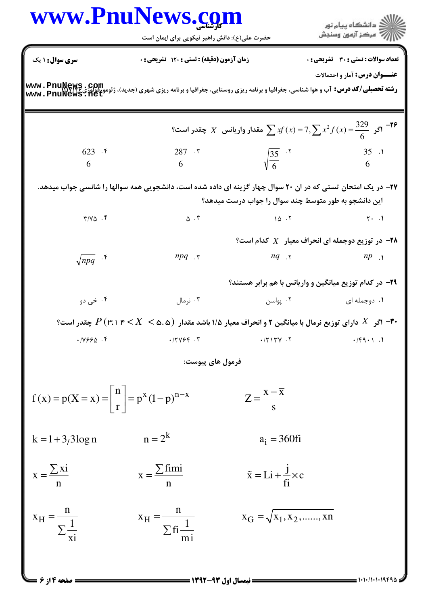|                                                                                          | www.PnuNews.com<br>حضرت علی(ع): دانش راهبر نیکویی برای ایمان است                                                                                                       |                                           | ر دانشڪاه پيام نور<br>دانشڪاه پيام نور                                         |
|------------------------------------------------------------------------------------------|------------------------------------------------------------------------------------------------------------------------------------------------------------------------|-------------------------------------------|--------------------------------------------------------------------------------|
| <b>سری سوال : ۱ یک</b>                                                                   | زمان آزمون (دقیقه) : تستی : 120 تشریحی : 0                                                                                                                             |                                           | تعداد سوالات : تستى : 30 - تشريحي : 0                                          |
|                                                                                          | <b>رشته تحصیلی/کد درس:</b> آب و هوا شناسی، جغرافیا و برنامه ریزی روستایی، جغرافیا و برنامه ریزی شهری (جدید)، ژئومورفولوژی www . PnuNews . 16t<br> www . PnuNews . 11et |                                           | <b>عنـــوان درس:</b> آمار و احتمالات                                           |
|                                                                                          |                                                                                                                                                                        |                                           | اگر $\int_{0}^{8}$ اگر $\int_{0}^{329}$ $X$ $X$ مقدار واریانس $X$ چقدر است $X$ |
| $\frac{623}{6}$ . f                                                                      | $\frac{287}{6}$ . ۳                                                                                                                                                    | $\sqrt{\frac{35}{6}}$ . $\sqrt{5}$        | $\frac{35}{6}$ .                                                               |
|                                                                                          | ۲۷– در یک امتحان تستی که در ان ۲۰ سوال چهار گزینه ای داده شده است، دانشجویی همه سوالها را شانسی جواب میدهد.                                                            |                                           |                                                                                |
|                                                                                          |                                                                                                                                                                        |                                           | این دانشجو به طور متوسط چند سوال را جواب درست میدهد؟                           |
| $Y/Y\Delta$ .                                                                            | $\Delta$ $\cdot$ $\mathsf{r}$                                                                                                                                          | $\Delta$ $\sim$ $\Gamma$                  | $Y \cdot .1$                                                                   |
|                                                                                          |                                                                                                                                                                        |                                           | ۰۲۸ در توزیع دوجمله ای انحراف معیار $X$ کدام است؟                              |
| $\sqrt{npq}$ .*                                                                          | $npq$ .                                                                                                                                                                |                                           | $nq$ $\gamma$ $np$ $\gamma$                                                    |
|                                                                                          |                                                                                                                                                                        |                                           | <b>۲۹</b> - در کدام توزیع میانگین و واریانس با هم برابر هستند؟                 |
| ۰۴ خی دو                                                                                 | ۰۳ نرمال                                                                                                                                                               | ۲. پواسن                                  | ۰۱ دوجمله ای                                                                   |
|                                                                                          | و انحراف معیار ۱/۵ باشد مقدار $X < \infty$ (۳۰ اگر $X$ دارای توزیع نرمال با میانگین ۲ و انحراف معیار ۱/۵ باشد مقدار $Y \prec X < \infty$ ۱ اگر $X$ مقدر است $^3$       |                                           |                                                                                |
| .11996.                                                                                  | .77954.7                                                                                                                                                               | .714V.7                                   | $\cdot$ /۴۹ $\cdot$ 1.                                                         |
|                                                                                          | فرمول هاي پيوست:                                                                                                                                                       |                                           |                                                                                |
| $f(x) = p(X = x) = \left  \begin{array}{c} n \\ r \end{array} \right  = p^x (1-p)^{n-x}$ |                                                                                                                                                                        | $Z = \frac{x - \overline{x}}{s}$          |                                                                                |
| $k = 1 + 3/3 \log n$                                                                     | $n = 2^k$                                                                                                                                                              | $a_i = 360$ fi                            |                                                                                |
| $\overline{x} = \frac{\sum x_i}{\sum x_i}$                                               | $\overline{x} = \frac{\sum \text{fimi}}{x}$                                                                                                                            | $\tilde{x} = Li + \frac{J}{f_i} \times c$ |                                                                                |
| $x_H = \frac{H}{\sum_{x=1}^{1} x_H}$                                                     | $x_{\rm H} = \frac{n}{\sum f_i \frac{1}{n}}$                                                                                                                           | $x_G = \sqrt{x_1, x_2, \dots, x_n}$       |                                                                                |
| <b>صفحه ۱۴ز ۶ =</b>                                                                      |                                                                                                                                                                        |                                           |                                                                                |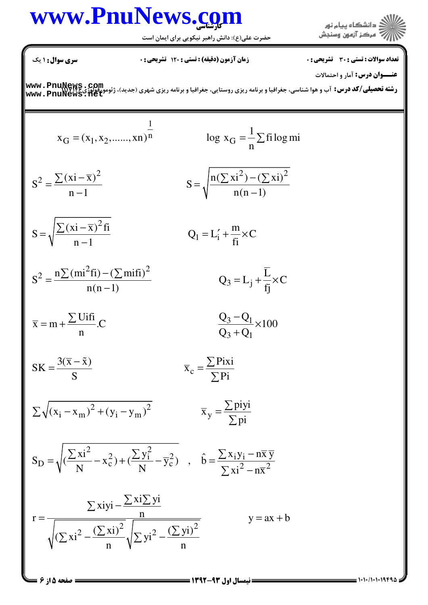## www.PnuNews.com

حضرت علی(ع): دانش راهبر نیکویی برای ایمان است



**سری سوال :** ۱ یک

**زمان آزمون (دقیقه) : تستی : ۱۲۰ تشریحی: 0** 

تعداد سوالات : تستى : 30 - تشريحي : 0

عنــوان درس: آمار و احتمالات

**رشته تحصیلی/کد درس:** آب و هوا شناسی، جغرافیا و برنامه ریزی روستایی، جغرافیا و برنامه ریزی شهری (جدید)، ژئومورفوفوژی www . PnuNews . rom<br>www . PnuNews . Het

$$
x_G = (x_1, x_2, \dots, x_n)^{\frac{1}{n}}
$$
\n
$$
\log x_G = \frac{1}{n} \sum f \text{ i log mi}
$$
\n
$$
S^2 = \frac{\sum (x_i - \overline{x})^2}{n - 1}
$$
\n
$$
S = \sqrt{\frac{n(\sum x_i^2) - (\sum x_i)^2}{n(n - 1)}}
$$
\n
$$
S = \sqrt{\frac{\sum (x_i - \overline{x})^2 f_i}{n(n - 1)}}
$$
\n
$$
Q_1 = L'_1 + \frac{m}{f_i} \times C
$$
\n
$$
S^2 = \frac{n \sum (mi^2 f_i) - (\sum mi f_i)^2}{n(n - 1)}
$$
\n
$$
Q_3 = L_j + \frac{\overline{L}}{f_j} \times C
$$
\n
$$
\overline{x} = m + \frac{\sum U f_i f_i}{n} C
$$
\n
$$
S = \frac{Q_3 - Q_1}{Q_3 + Q_1} \times 100
$$
\n
$$
S = \frac{3(\overline{x} - \tilde{x})}{S}
$$
\n
$$
\sum \sqrt{(x_i - x_m)^2 + (y_i - y_m)^2}
$$
\n
$$
\overline{x}_g = \frac{\sum p i xi}{\sum pi}
$$
\n
$$
S_D = \sqrt{\frac{(\sum xi^2 - x_c^2) + (\frac{\sum y_i^2}{N} - \overline{y}_c^2)}{n}}
$$
\n
$$
r = \frac{\sum x_i y_i - \frac{\sum x_i \sum y_i}{n}}{\sqrt{(\sum xi^2 - (\frac{\sum xi}{n})^2} \sqrt{\sum yi^2 - (\frac{\sum y_i}{n})^2}}
$$
\n
$$
y = ax + b
$$
\n
$$
S = \sqrt{\log a \log a}
$$
\n
$$
S = \sqrt{a \log a}
$$
\n
$$
S = \sqrt{a \log a}
$$
\n
$$
S = \sqrt{a \log a}
$$
\n
$$
S = \sqrt{a \log a}
$$
\n
$$
S = \sqrt{a \log a}
$$
\n
$$
S = \sqrt{a \log a}
$$
\n
$$
S = \sqrt{a \log a}
$$
\n
$$
S = \sqrt{a \log a}
$$
\n
$$
S = \sqrt{a \log a}
$$
\n<math display="</math>

 $= 1.11/11.19792$